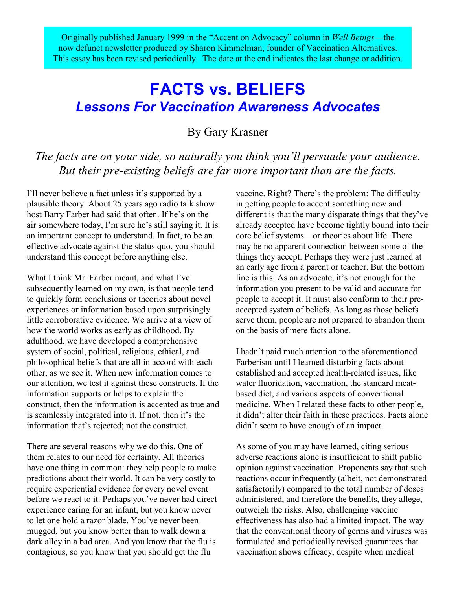Originally published January 1999 in the "Accent on Advocacy" column in *Well Beings*—the now defunct newsletter produced by Sharon Kimmelman, founder of Vaccination Alternatives. This essay has been revised periodically. The date at the end indicates the last change or addition.

## **FACTS vs. BELIEFS** *Lessons For Vaccination Awareness Advocates*

By Gary Krasner

## *The facts are on your side, so naturally you think you'll persuade your audience. But their pre-existing beliefs are far more important than are the facts.*

I'll never believe a fact unless it's supported by a plausible theory. About 25 years ago radio talk show host Barry Farber had said that often. If he's on the air somewhere today, I'm sure he's still saying it. It is an important concept to understand. In fact, to be an effective advocate against the status quo, you should understand this concept before anything else.

What I think Mr. Farber meant, and what I've subsequently learned on my own, is that people tend to quickly form conclusions or theories about novel experiences or information based upon surprisingly little corroborative evidence. We arrive at a view of how the world works as early as childhood. By adulthood, we have developed a comprehensive system of social, political, religious, ethical, and philosophical beliefs that are all in accord with each other, as we see it. When new information comes to our attention, we test it against these constructs. If the information supports or helps to explain the construct, then the information is accepted as true and is seamlessly integrated into it. If not, then it's the information that's rejected; not the construct.

There are several reasons why we do this. One of them relates to our need for certainty. All theories have one thing in common: they help people to make predictions about their world. It can be very costly to require experiential evidence for every novel event before we react to it. Perhaps you've never had direct experience caring for an infant, but you know never to let one hold a razor blade. You've never been mugged, but you know better than to walk down a dark alley in a bad area. And you know that the flu is contagious, so you know that you should get the flu

vaccine. Right? There's the problem: The difficulty in getting people to accept something new and different is that the many disparate things that they've already accepted have become tightly bound into their core belief systems—or theories about life. There may be no apparent connection between some of the things they accept. Perhaps they were just learned at an early age from a parent or teacher. But the bottom line is this: As an advocate, it's not enough for the information you present to be valid and accurate for people to accept it. It must also conform to their preaccepted system of beliefs. As long as those beliefs serve them, people are not prepared to abandon them on the basis of mere facts alone.

I hadn't paid much attention to the aforementioned Farberism until I learned disturbing facts about established and accepted health-related issues, like water fluoridation, vaccination, the standard meatbased diet, and various aspects of conventional medicine. When I related these facts to other people, it didn't alter their faith in these practices. Facts alone didn't seem to have enough of an impact.

As some of you may have learned, citing serious adverse reactions alone is insufficient to shift public opinion against vaccination. Proponents say that such reactions occur infrequently (albeit, not demonstrated satisfactorily) compared to the total number of doses administered, and therefore the benefits, they allege, outweigh the risks. Also, challenging vaccine effectiveness has also had a limited impact. The way that the conventional theory of germs and viruses was formulated and periodically revised guarantees that vaccination shows efficacy, despite when medical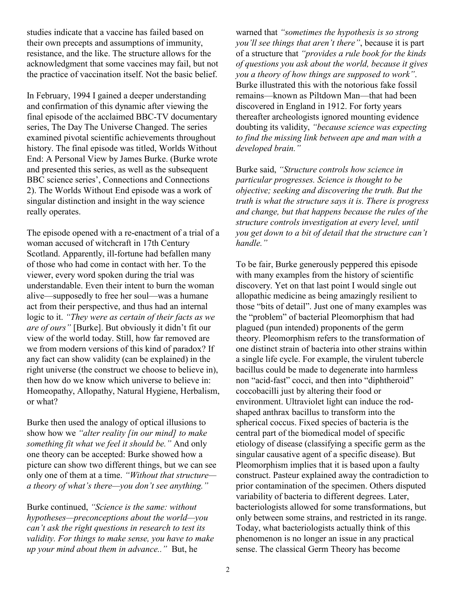studies indicate that a vaccine has failed based on their own precepts and assumptions of immunity, resistance, and the like. The structure allows for the acknowledgment that some vaccines may fail, but not the practice of vaccination itself. Not the basic belief.

In February, 1994 I gained a deeper understanding and confirmation of this dynamic after viewing the final episode of the acclaimed BBC-TV documentary series, The Day The Universe Changed. The series examined pivotal scientific achievements throughout history. The final episode was titled, Worlds Without End: A Personal View by James Burke. (Burke wrote and presented this series, as well as the subsequent BBC science series', Connections and Connections 2). The Worlds Without End episode was a work of singular distinction and insight in the way science really operates.

The episode opened with a re-enactment of a trial of a woman accused of witchcraft in 17th Century Scotland. Apparently, ill-fortune had befallen many of those who had come in contact with her. To the viewer, every word spoken during the trial was understandable. Even their intent to burn the woman alive—supposedly to free her soul—was a humane act from their perspective, and thus had an internal logic to it. *"They were as certain of their facts as we are of ours"* [Burke]. But obviously it didn't fit our view of the world today. Still, how far removed are we from modern versions of this kind of paradox? If any fact can show validity (can be explained) in the right universe (the construct we choose to believe in), then how do we know which universe to believe in: Homeopathy, Allopathy, Natural Hygiene, Herbalism, or what?

Burke then used the analogy of optical illusions to show how we *"alter reality [in our mind] to make something fit what we feel it should be."* And only one theory can be accepted: Burke showed how a picture can show two different things, but we can see only one of them at a time. *"Without that structure a theory of what's there—you don't see anything."*

Burke continued, *"Science is the same: without hypotheses—preconceptions about the world—you can't ask the right questions in research to test its validity. For things to make sense, you have to make up your mind about them in advance.."* But, he

warned that *"sometimes the hypothesis is so strong you'll see things that aren't there"*, because it is part of a structure that *"provides a rule book for the kinds of questions you ask about the world, because it gives you a theory of how things are supposed to work"*. Burke illustrated this with the notorious fake fossil remains—known as Piltdown Man—that had been discovered in England in 1912. For forty years thereafter archeologists ignored mounting evidence doubting its validity, *"because science was expecting to find the missing link between ape and man with a developed brain."*

Burke said, *"Structure controls how science in particular progresses. Science is thought to be objective; seeking and discovering the truth. But the truth is what the structure says it is. There is progress and change, but that happens because the rules of the structure controls investigation at every level, until you get down to a bit of detail that the structure can't handle."*

To be fair, Burke generously peppered this episode with many examples from the history of scientific discovery. Yet on that last point I would single out allopathic medicine as being amazingly resilient to those "bits of detail". Just one of many examples was the "problem" of bacterial Pleomorphism that had plagued (pun intended) proponents of the germ theory. Pleomorphism refers to the transformation of one distinct strain of bacteria into other strains within a single life cycle. For example, the virulent tubercle bacillus could be made to degenerate into harmless non "acid-fast" cocci, and then into "diphtheroid" coccobacilli just by altering their food or environment. Ultraviolet light can induce the rodshaped anthrax bacillus to transform into the spherical coccus. Fixed species of bacteria is the central part of the biomedical model of specific etiology of disease (classifying a specific germ as the singular causative agent of a specific disease). But Pleomorphism implies that it is based upon a faulty construct. Pasteur explained away the contradiction to prior contamination of the specimen. Others disputed variability of bacteria to different degrees. Later, bacteriologists allowed for some transformations, but only between some strains, and restricted in its range. Today, what bacteriologists actually think of this phenomenon is no longer an issue in any practical sense. The classical Germ Theory has become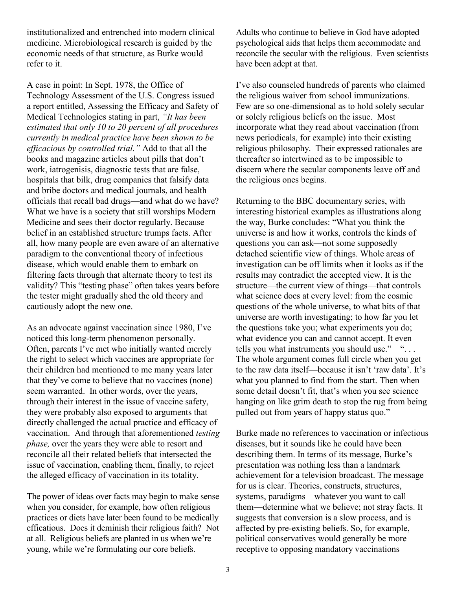institutionalized and entrenched into modern clinical medicine. Microbiological research is guided by the economic needs of that structure, as Burke would refer to it.

A case in point: In Sept. 1978, the Office of Technology Assessment of the U.S. Congress issued a report entitled, Assessing the Efficacy and Safety of Medical Technologies stating in part, *"It has been estimated that only 10 to 20 percent of all procedures currently in medical practice have been shown to be efficacious by controlled trial."* Add to that all the books and magazine articles about pills that don't work, iatrogenisis, diagnostic tests that are false, hospitals that bilk, drug companies that falsify data and bribe doctors and medical journals, and health officials that recall bad drugs—and what do we have? What we have is a society that still worships Modern Medicine and sees their doctor regularly. Because belief in an established structure trumps facts. After all, how many people are even aware of an alternative paradigm to the conventional theory of infectious disease, which would enable them to embark on filtering facts through that alternate theory to test its validity? This "testing phase" often takes years before the tester might gradually shed the old theory and cautiously adopt the new one.

As an advocate against vaccination since 1980, I've noticed this long-term phenomenon personally. Often, parents I've met who initially wanted merely the right to select which vaccines are appropriate for their children had mentioned to me many years later that they've come to believe that no vaccines (none) seem warranted. In other words, over the years, through their interest in the issue of vaccine safety, they were probably also exposed to arguments that directly challenged the actual practice and efficacy of vaccination. And through that aforementioned *testing phase,* over the years they were able to resort and reconcile all their related beliefs that intersected the issue of vaccination, enabling them, finally, to reject the alleged efficacy of vaccination in its totality.

The power of ideas over facts may begin to make sense when you consider, for example, how often religious practices or diets have later been found to be medically efficatious. Does it deminish their religious faith? Not at all. Religious beliefs are planted in us when we're young, while we're formulating our core beliefs.

Adults who continue to believe in God have adopted psychological aids that helps them accommodate and reconcile the secular with the religious. Even scientists have been adept at that.

I've also counseled hundreds of parents who claimed the religious waiver from school immunizations. Few are so one-dimensional as to hold solely secular or solely religious beliefs on the issue. Most incorporate what they read about vaccination (from news periodicals, for example) into their existing religious philosophy. Their expressed rationales are thereafter so intertwined as to be impossible to discern where the secular components leave off and the religious ones begins.

Returning to the BBC documentary series, with interesting historical examples as illustrations along the way, Burke concludes: "What you think the universe is and how it works, controls the kinds of questions you can ask—not some supposedly detached scientific view of things. Whole areas of investigation can be off limits when it looks as if the results may contradict the accepted view. It is the structure—the current view of things—that controls what science does at every level: from the cosmic questions of the whole universe, to what bits of that universe are worth investigating; to how far you let the questions take you; what experiments you do; what evidence you can and cannot accept. It even tells you what instruments you should use." "... The whole argument comes full circle when you get to the raw data itself—because it isn't 'raw data'. It's what you planned to find from the start. Then when some detail doesn't fit, that's when you see science hanging on like grim death to stop the rug from being pulled out from years of happy status quo."

Burke made no references to vaccination or infectious diseases, but it sounds like he could have been describing them. In terms of its message, Burke's presentation was nothing less than a landmark achievement for a television broadcast. The message for us is clear. Theories, constructs, structures, systems, paradigms—whatever you want to call them—determine what we believe; not stray facts. It suggests that conversion is a slow process, and is affected by pre-existing beliefs. So, for example, political conservatives would generally be more receptive to opposing mandatory vaccinations